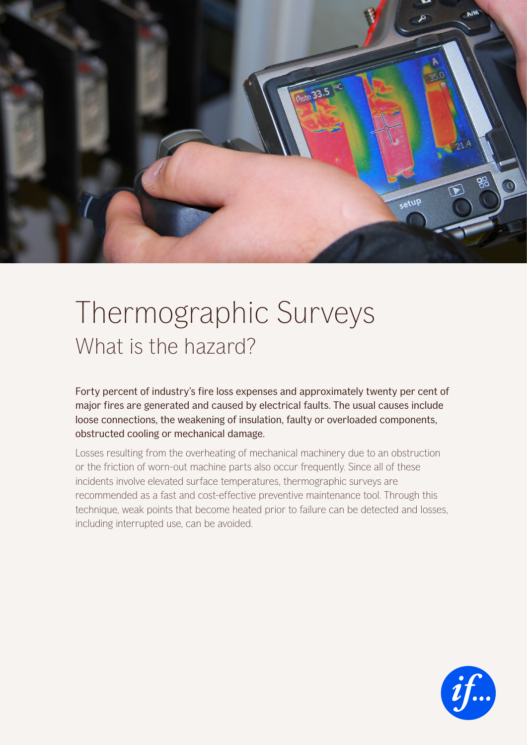

## Thermographic Surveys What is the hazard?

Forty percent of industry's fire loss expenses and approximately twenty per cent of major fires are generated and caused by electrical faults. The usual causes include loose connections, the weakening of insulation, faulty or overloaded components, obstructed cooling or mechanical damage.

Losses resulting from the overheating of mechanical machinery due to an obstruction or the friction of worn-out machine parts also occur frequently. Since all of these incidents involve elevated surface temperatures, thermographic surveys are recommended as a fast and cost-effective preventive maintenance tool. Through this technique, weak points that become heated prior to failure can be detected and losses, including interrupted use, can be avoided.